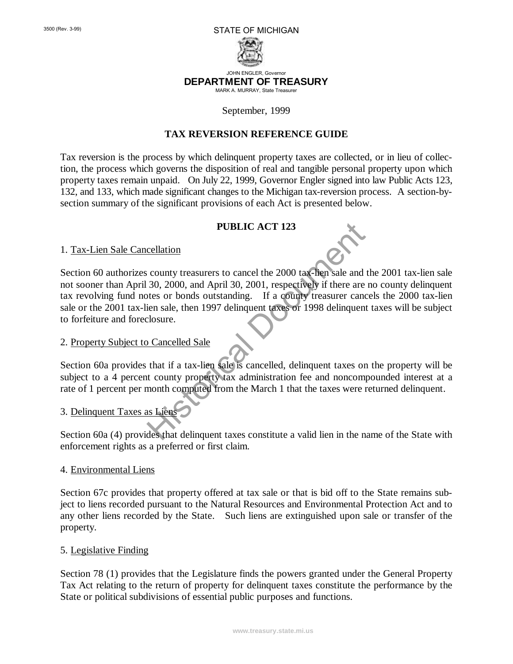

JOHN ENGLER, Governor **DEPARTMENT OF TREASURY** MARK A. MURRAY, State Treasurer

#### September, 1999

#### **TAX REVERSION REFERENCE GUIDE**

Tax reversion is the process by which delinquent property taxes are collected, or in lieu of collection, the process which governs the disposition of real and tangible personal property upon which property taxes remain unpaid. On July 22, 1999, Governor Engler signed into law Public Acts 123, 132, and 133, which made significant changes to the Michigan tax-reversion process. A section-bysection summary of the significant provisions of each Act is presented below.

#### **PUBLIC ACT 123**

1. Tax-Lien Sale Cancellation

Section 60 authorizes county treasurers to cancel the 2000 tax-lien sale and the 2001 tax-lien sale not sooner than April 30, 2000, and April 30, 2001, respectively if there are no county delinquent tax revolving fund notes or bonds outstanding. If a county treasurer cancels the 2000 tax-lien sale or the 2001 tax-lien sale, then 1997 delinquent taxes or 1998 delinquent taxes will be subject to forfeiture and foreclosure. PUBLIC ACT 123<br>
cellation<br>
county treasurers to cancel the 2000 tax-lien sale and<br>
30, 2000, and April 30, 2001, respectively if there are<br>
tes or bonds outstanding. If a county treasurer cance<br>
ien sale, then 1997 delinqu

#### 2. Property Subject to Cancelled Sale

Section 60a provides that if a tax-lien sale is cancelled, delinquent taxes on the property will be subject to a 4 percent county property tax administration fee and noncompounded interest at a rate of 1 percent per month computed from the March 1 that the taxes were returned delinquent.

# 3. Delinquent Taxes as Liens

Section 60a (4) provides that delinquent taxes constitute a valid lien in the name of the State with enforcement rights as a preferred or first claim.

#### 4. Environmental Liens

Section 67c provides that property offered at tax sale or that is bid off to the State remains subject to liens recorded pursuant to the Natural Resources and Environmental Protection Act and to any other liens recorded by the State. Such liens are extinguished upon sale or transfer of the property.

#### 5. Legislative Finding

Section 78 (1) provides that the Legislature finds the powers granted under the General Property Tax Act relating to the return of property for delinquent taxes constitute the performance by the State or political subdivisions of essential public purposes and functions.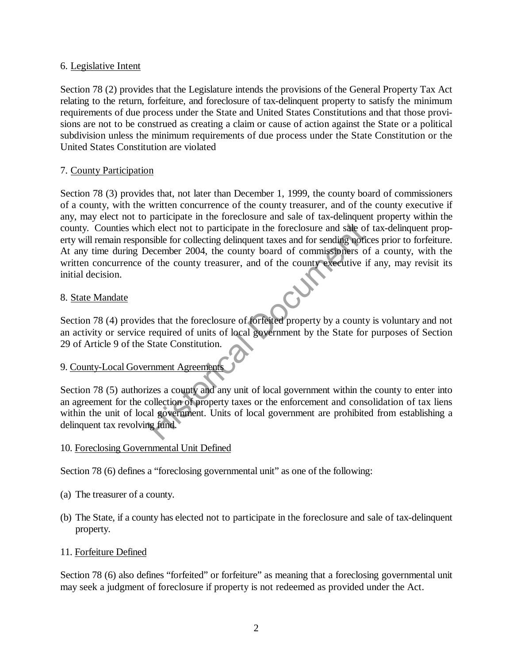## 6. Legislative Intent

Section 78 (2) provides that the Legislature intends the provisions of the General Property Tax Act relating to the return, forfeiture, and foreclosure of tax-delinquent property to satisfy the minimum requirements of due process under the State and United States Constitutions and that those provisions are not to be construed as creating a claim or cause of action against the State or a political subdivision unless the minimum requirements of due process under the State Constitution or the United States Constitution are violated

# 7. County Participation

Section 78 (3) provides that, not later than December 1, 1999, the county board of commissioners of a county, with the written concurrence of the county treasurer, and of the county executive if any, may elect not to participate in the foreclosure and sale of tax-delinquent property within the county. Counties which elect not to participate in the foreclosure and sale of tax-delinquent property will remain responsible for collecting delinquent taxes and for sending notices prior to forfeiture. At any time during December 2004, the county board of commissioners of a county, with the written concurrence of the county treasurer, and of the county executive if any, may revisit its initial decision. The elect not to participate in the foreclosure and sale of<br>sible for collecting delinquent taxes and for sending notified<br>becember 2004, the county board of commissioners of<br>the county treasurer, and of the county executi

# 8. State Mandate

Section 78 (4) provides that the foreclosure of forfeited property by a county is voluntary and not an activity or service required of units of local government by the State for purposes of Section 29 of Article 9 of the State Constitution.

# 9. County-Local Government Agreements

Section 78 (5) authorizes a county and any unit of local government within the county to enter into an agreement for the collection of property taxes or the enforcement and consolidation of tax liens within the unit of local government. Units of local government are prohibited from establishing a delinquent tax revolving fund.

# 10. Foreclosing Governmental Unit Defined

Section 78 (6) defines a "foreclosing governmental unit" as one of the following:

- (a) The treasurer of a county.
- (b) The State, if a county has elected not to participate in the foreclosure and sale of tax-delinquent property.

## 11. Forfeiture Defined

Section 78 (6) also defines "forfeited" or forfeiture" as meaning that a foreclosing governmental unit may seek a judgment of foreclosure if property is not redeemed as provided under the Act.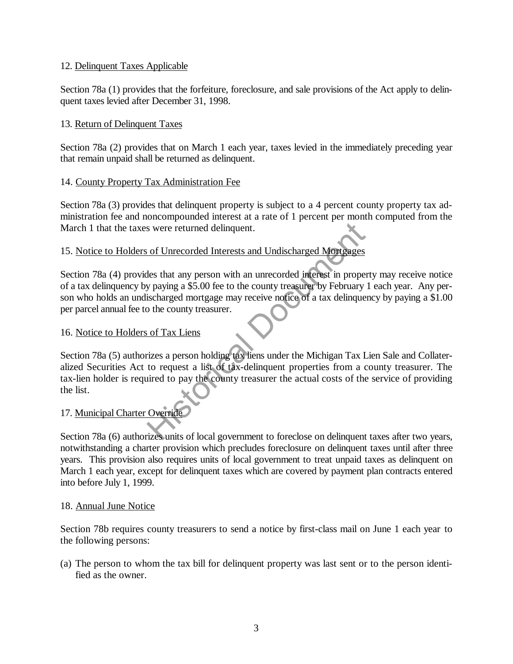# 12. Delinquent Taxes Applicable

Section 78a (1) provides that the forfeiture, foreclosure, and sale provisions of the Act apply to delinquent taxes levied after December 31, 1998.

# 13. Return of Delinquent Taxes

Section 78a (2) provides that on March 1 each year, taxes levied in the immediately preceding year that remain unpaid shall be returned as delinquent.

# 14. County Property Tax Administration Fee

Section 78a (3) provides that delinquent property is subject to a 4 percent county property tax administration fee and noncompounded interest at a rate of 1 percent per month computed from the March 1 that the taxes were returned delinquent.

# 15. Notice to Holders of Unrecorded Interests and Undischarged Mortgages

Section 78a (4) provides that any person with an unrecorded interest in property may receive notice of a tax delinquency by paying a \$5.00 fee to the county treasurer by February 1 each year. Any person who holds an undischarged mortgage may receive notice of a tax delinquency by paying a \$1.00 per parcel annual fee to the county treasurer.

## 16. Notice to Holders of Tax Liens

Section 78a (5) authorizes a person holding tax liens under the Michigan Tax Lien Sale and Collateralized Securities Act to request a list of tax-delinquent properties from a county treasurer. The tax-lien holder is required to pay the county treasurer the actual costs of the service of providing the list. Solution and Undischarged Mortgages<br>
Les that any person with an unrecorded interest in proper<br>
Els that any person with an unrecorded interest in proper<br>
Supering a \$5.00 fee to the county treasurer by February<br>
Such a ta

# 17. Municipal Charter Override

Section 78a (6) authorizes units of local government to foreclose on delinquent taxes after two years, notwithstanding a charter provision which precludes foreclosure on delinquent taxes until after three years. This provision also requires units of local government to treat unpaid taxes as delinquent on March 1 each year, except for delinquent taxes which are covered by payment plan contracts entered into before July 1, 1999.

## 18. Annual June Notice

Section 78b requires county treasurers to send a notice by first-class mail on June 1 each year to the following persons:

(a) The person to whom the tax bill for delinquent property was last sent or to the person identified as the owner.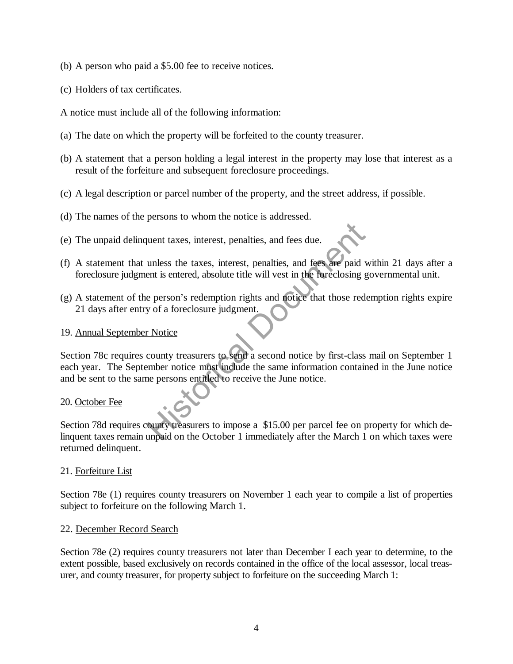- (b) A person who paid a \$5.00 fee to receive notices.
- (c) Holders of tax certificates.

A notice must include all of the following information:

- (a) The date on which the property will be forfeited to the county treasurer.
- (b) A statement that a person holding a legal interest in the property may lose that interest as a result of the forfeiture and subsequent foreclosure proceedings.
- (c) A legal description or parcel number of the property, and the street address, if possible.
- (d) The names of the persons to whom the notice is addressed.
- (e) The unpaid delinquent taxes, interest, penalties, and fees due.
- (f) A statement that unless the taxes, interest, penalties, and fees are paid within 21 days after a foreclosure judgment is entered, absolute title will vest in the foreclosing governmental unit.
- (g) A statement of the person's redemption rights and notice that those redemption rights expire 21 days after entry of a foreclosure judgment.

## 19. Annual September Notice

Section 78c requires county treasurers to send a second notice by first-class mail on September 1 each year. The September notice must include the same information contained in the June notice and be sent to the same persons entitled to receive the June notice. The traces, interest, penalties, and fees due.<br>
Unless the taxes, interest, penalties, and fees are paid with the foreclosing g<br>
Document is entered, absolute title will vest in the foreclosing g<br>
e person's redemption rig

## 20. October Fee

Section 78d requires county treasurers to impose a \$15.00 per parcel fee on property for which delinquent taxes remain unpaid on the October 1 immediately after the March 1 on which taxes were returned delinquent.

## 21. Forfeiture List

Section 78e (1) requires county treasurers on November 1 each year to compile a list of properties subject to forfeiture on the following March 1.

#### 22. December Record Search

Section 78e (2) requires county treasurers not later than December I each year to determine, to the extent possible, based exclusively on records contained in the office of the local assessor, local treasurer, and county treasurer, for property subject to forfeiture on the succeeding March 1: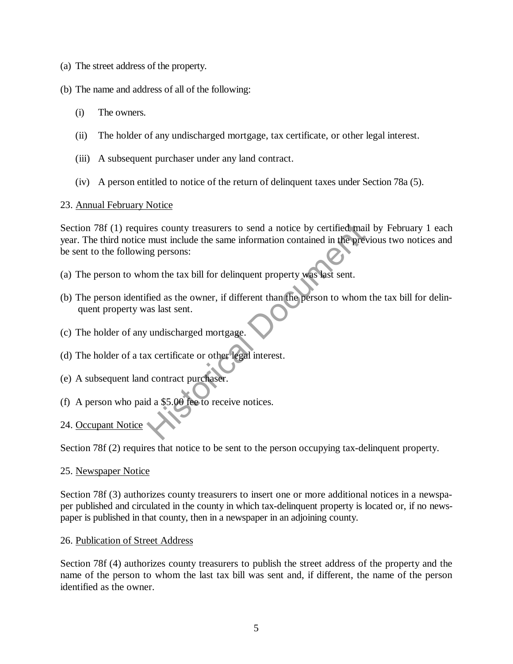- (a) The street address of the property.
- (b) The name and address of all of the following:
	- (i) The owners.
	- (ii) The holder of any undischarged mortgage, tax certificate, or other legal interest.
	- (iii) A subsequent purchaser under any land contract.
	- (iv) A person entitled to notice of the return of delinquent taxes under Section 78a (5).

## 23. Annual February Notice

Section 78f (1) requires county treasurers to send a notice by certified mail by February 1 each year. The third notice must include the same information contained in the previous two notices and be sent to the following persons: res county treasurers to send a notice by certified main must include the same information contained in the prending persons:<br>
Some the tax bill for delinquent property was last sent.<br>
Fied as the owner, if different than

- (a) The person to whom the tax bill for delinquent property was last sent.
- (b) The person identified as the owner, if different than the person to whom the tax bill for delinquent property was last sent.
- (c) The holder of any undischarged mortgage.
- (d) The holder of a tax certificate or other legal interest.
- (e) A subsequent land contract purchaser.
- (f) A person who paid a \$5.00 fee to receive notices.
- 24. Occupant Notice

Section 78f (2) requires that notice to be sent to the person occupying tax-delinquent property.

#### 25. Newspaper Notice

Section 78f (3) authorizes county treasurers to insert one or more additional notices in a newspaper published and circulated in the county in which tax-delinquent property is located or, if no newspaper is published in that county, then in a newspaper in an adjoining county.

## 26. Publication of Street Address

Section 78f (4) authorizes county treasurers to publish the street address of the property and the name of the person to whom the last tax bill was sent and, if different, the name of the person identified as the owner.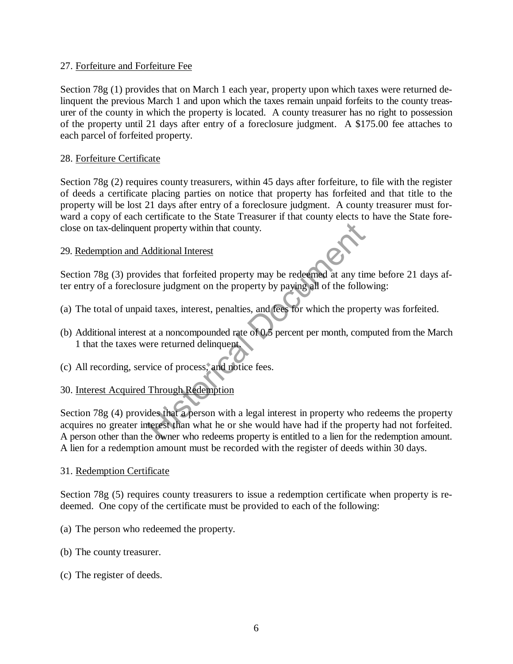## 27. Forfeiture and Forfeiture Fee

Section 78g (1) provides that on March 1 each year, property upon which taxes were returned delinquent the previous March 1 and upon which the taxes remain unpaid forfeits to the county treasurer of the county in which the property is located. A county treasurer has no right to possession of the property until 21 days after entry of a foreclosure judgment. A \$175.00 fee attaches to each parcel of forfeited property.

## 28. Forfeiture Certificate

Section 78g (2) requires county treasurers, within 45 days after forfeiture, to file with the register of deeds a certificate placing parties on notice that property has forfeited and that title to the property will be lost 21 days after entry of a foreclosure judgment. A county treasurer must forward a copy of each certificate to the State Treasurer if that county elects to have the State foreclose on tax-delinquent property within that county.

## 29. Redemption and Additional Interest

Section 78g (3) provides that forfeited property may be redeemed at any time before 21 days after entry of a foreclosure judgment on the property by paying all of the following:

- (a) The total of unpaid taxes, interest, penalties, and fees for which the property was forfeited.
- (b) Additional interest at a noncompounded rate of 0.5 percent per month, computed from the March 1 that the taxes were returned delinquent.
- (c) All recording, service of process, and notice fees.

# 30. Interest Acquired Through Redemption

Section 78g (4) provides that a person with a legal interest in property who redeems the property acquires no greater interest than what he or she would have had if the property had not forfeited. A person other than the owner who redeems property is entitled to a lien for the redemption amount. A lien for a redemption amount must be recorded with the register of deeds within 30 days. dditional Interest<br>des that forfeited property may be redeemed at any tirure judgment on the property by paying all of the follo<br>d taxes, interest, penalties, and fees for which the prop<br>at a noncompounded rate of 0.5 perc

#### 31. Redemption Certificate

Section 78g (5) requires county treasurers to issue a redemption certificate when property is redeemed. One copy of the certificate must be provided to each of the following:

- (a) The person who redeemed the property.
- (b) The county treasurer.
- (c) The register of deeds.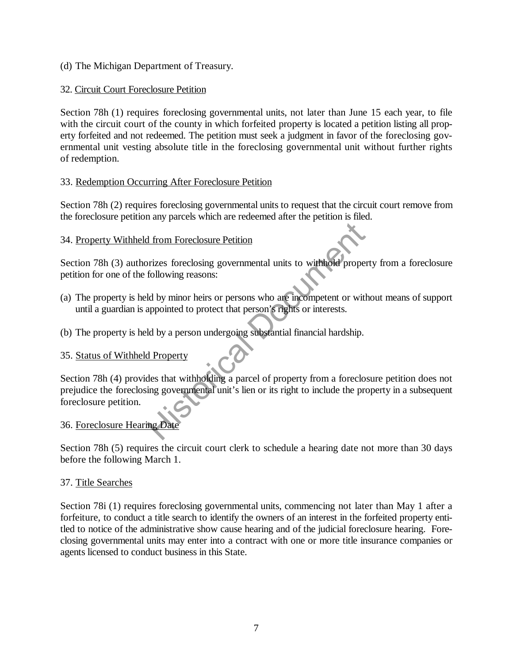(d) The Michigan Department of Treasury.

# 32. Circuit Court Foreclosure Petition

Section 78h (1) requires foreclosing governmental units, not later than June 15 each year, to file with the circuit court of the county in which forfeited property is located a petition listing all property forfeited and not redeemed. The petition must seek a judgment in favor of the foreclosing governmental unit vesting absolute title in the foreclosing governmental unit without further rights of redemption.

# 33. Redemption Occurring After Foreclosure Petition

Section 78h (2) requires foreclosing governmental units to request that the circuit court remove from the foreclosure petition any parcels which are redeemed after the petition is filed.

# 34. Property Withheld from Foreclosure Petition

Section 78h (3) authorizes foreclosing governmental units to withhold property from a foreclosure petition for one of the following reasons:

- (a) The property is held by minor heirs or persons who are incompetent or without means of support until a guardian is appointed to protect that person's rights or interests.
- (b) The property is held by a person undergoing substantial financial hardship.

# 35. Status of Withheld Property

Section 78h (4) provides that withholding a parcel of property from a foreclosure petition does not prejudice the foreclosing governmental unit's lien or its right to include the property in a subsequent foreclosure petition. The Form of The Petition<br>Trizes foreclosing governmental units to withhold prope<br>following reasons:<br>Id by minor heirs or persons who are incompetent or with<br>appointed to protect that person's rights or interests.<br>Id by a p

# 36. Foreclosure Hearing Date

Section 78h (5) requires the circuit court clerk to schedule a hearing date not more than 30 days before the following March 1.

## 37. Title Searches

Section 78i (1) requires foreclosing governmental units, commencing not later than May 1 after a forfeiture, to conduct a title search to identify the owners of an interest in the forfeited property entitled to notice of the administrative show cause hearing and of the judicial foreclosure hearing. Foreclosing governmental units may enter into a contract with one or more title insurance companies or agents licensed to conduct business in this State.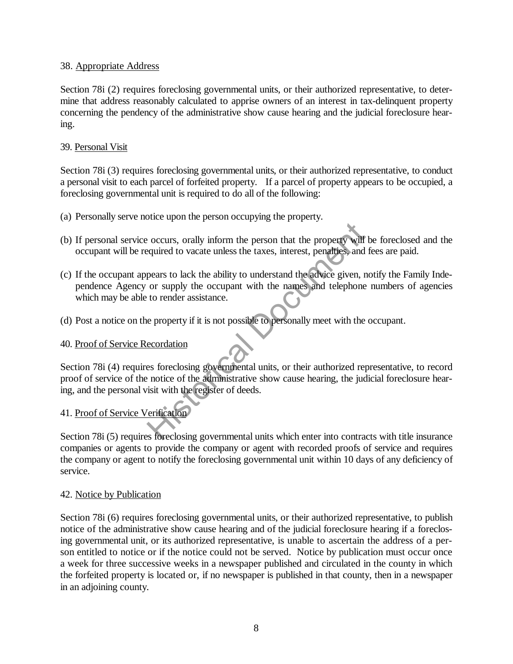# 38. Appropriate Address

Section 78i (2) requires foreclosing governmental units, or their authorized representative, to determine that address reasonably calculated to apprise owners of an interest in tax-delinquent property concerning the pendency of the administrative show cause hearing and the judicial foreclosure hearing.

# 39. Personal Visit

Section 78i (3) requires foreclosing governmental units, or their authorized representative, to conduct a personal visit to each parcel of forfeited property. If a parcel of property appears to be occupied, a foreclosing governmental unit is required to do all of the following:

- (a) Personally serve notice upon the person occupying the property.
- (b) If personal service occurs, orally inform the person that the property will be foreclosed and the occupant will be required to vacate unless the taxes, interest, penalties, and fees are paid.
- (c) If the occupant appears to lack the ability to understand the advice given, notify the Family Independence Agency or supply the occupant with the names and telephone numbers of agencies which may be able to render assistance. Figure 11 To 2011 The person that the property will<br>equired to vacate unless the taxes, interest, penalties, and<br>pears to lack the ability to understand the advice given, r<br>or supply the occupant with the names and telepho
- (d) Post a notice on the property if it is not possible to personally meet with the occupant.

# 40. Proof of Service Recordation

Section 78i (4) requires foreclosing governmental units, or their authorized representative, to record proof of service of the notice of the administrative show cause hearing, the judicial foreclosure hearing, and the personal visit with the register of deeds.

# 41. Proof of Service Verification

Section 78i (5) requires foreclosing governmental units which enter into contracts with title insurance companies or agents to provide the company or agent with recorded proofs of service and requires the company or agent to notify the foreclosing governmental unit within 10 days of any deficiency of service.

## 42. Notice by Publication

Section 78i (6) requires foreclosing governmental units, or their authorized representative, to publish notice of the administrative show cause hearing and of the judicial foreclosure hearing if a foreclosing governmental unit, or its authorized representative, is unable to ascertain the address of a person entitled to notice or if the notice could not be served. Notice by publication must occur once a week for three successive weeks in a newspaper published and circulated in the county in which the forfeited property is located or, if no newspaper is published in that county, then in a newspaper in an adjoining county.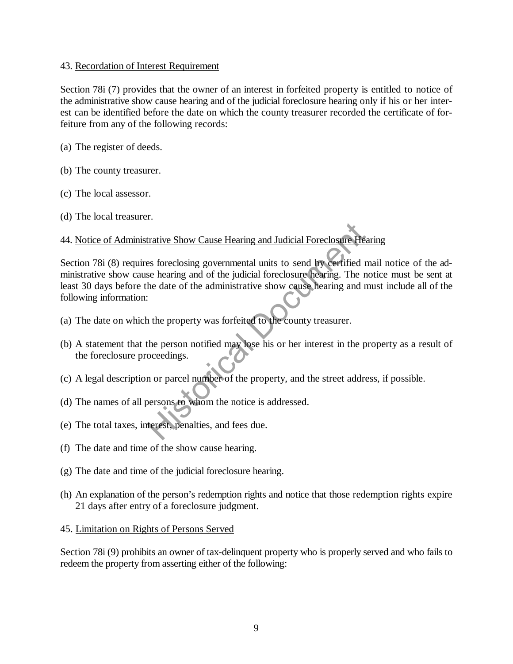## 43. Recordation of Interest Requirement

Section 78i (7) provides that the owner of an interest in forfeited property is entitled to notice of the administrative show cause hearing and of the judicial foreclosure hearing only if his or her interest can be identified before the date on which the county treasurer recorded the certificate of forfeiture from any of the following records:

- (a) The register of deeds.
- (b) The county treasurer.
- (c) The local assessor.
- (d) The local treasurer.

# 44. Notice of Administrative Show Cause Hearing and Judicial Foreclosure Hearing

Section 78i (8) requires foreclosing governmental units to send by certified mail notice of the administrative show cause hearing and of the judicial foreclosure hearing. The notice must be sent at least 30 days before the date of the administrative show cause hearing and must include all of the following information: trative Show Cause Hearing and Judicial Foreclosure He-<br>
es foreclosing governmental units to send by certified is<br>
se hearing and of the judicial foreclosure hearing. The r<br>
he date of the administrative show cause hearin

- (a) The date on which the property was forfeited to the county treasurer.
- (b) A statement that the person notified may lose his or her interest in the property as a result of the foreclosure proceedings.
- (c) A legal description or parcel number of the property, and the street address, if possible.
- (d) The names of all persons to whom the notice is addressed.
- (e) The total taxes, interest, penalties, and fees due.
- (f) The date and time of the show cause hearing.
- (g) The date and time of the judicial foreclosure hearing.
- (h) An explanation of the person's redemption rights and notice that those redemption rights expire 21 days after entry of a foreclosure judgment.
- 45. Limitation on Rights of Persons Served

Section 78i (9) prohibits an owner of tax-delinquent property who is properly served and who fails to redeem the property from asserting either of the following: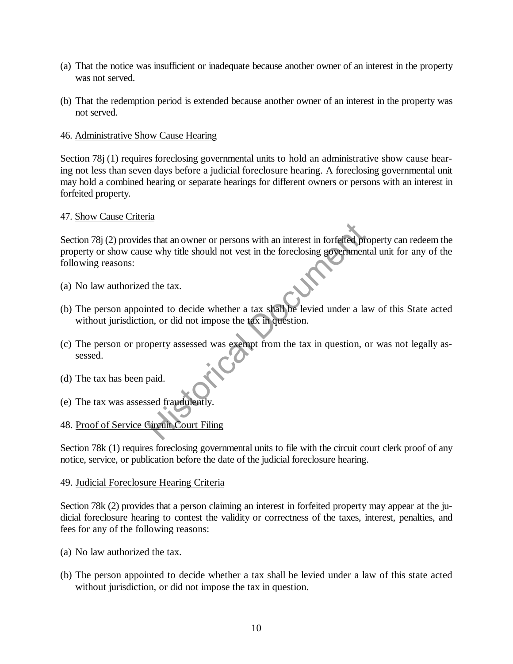- (a) That the notice was insufficient or inadequate because another owner of an interest in the property was not served.
- (b) That the redemption period is extended because another owner of an interest in the property was not served.

## 46. Administrative Show Cause Hearing

Section 78j (1) requires foreclosing governmental units to hold an administrative show cause hearing not less than seven days before a judicial foreclosure hearing. A foreclosing governmental unit may hold a combined hearing or separate hearings for different owners or persons with an interest in forfeited property.

## 47. Show Cause Criteria

Section 78 $(2)$  provides that an owner or persons with an interest in forfeited property can redeem the property or show cause why title should not vest in the foreclosing governmental unit for any of the following reasons: State and owner or persons with an interest in forfeited prior that an owner or persons with an interest in forfeited prior the why title should not vest in the foreclosing government of the tax.<br>
If the tax.<br>
If the tax.<br>

- (a) No law authorized the tax.
- (b) The person appointed to decide whether a tax shall be levied under a law of this State acted without jurisdiction, or did not impose the tax in question.
- (c) The person or property assessed was exempt from the tax in question, or was not legally assessed.
- (d) The tax has been paid.
- (e) The tax was assessed fraudulently.
- 48. Proof of Service Circuit Court Filing

Section 78k (1) requires foreclosing governmental units to file with the circuit court clerk proof of any notice, service, or publication before the date of the judicial foreclosure hearing.

#### 49. Judicial Foreclosure Hearing Criteria

Section 78k (2) provides that a person claiming an interest in forfeited property may appear at the judicial foreclosure hearing to contest the validity or correctness of the taxes, interest, penalties, and fees for any of the following reasons:

- (a) No law authorized the tax.
- (b) The person appointed to decide whether a tax shall be levied under a law of this state acted without jurisdiction, or did not impose the tax in question.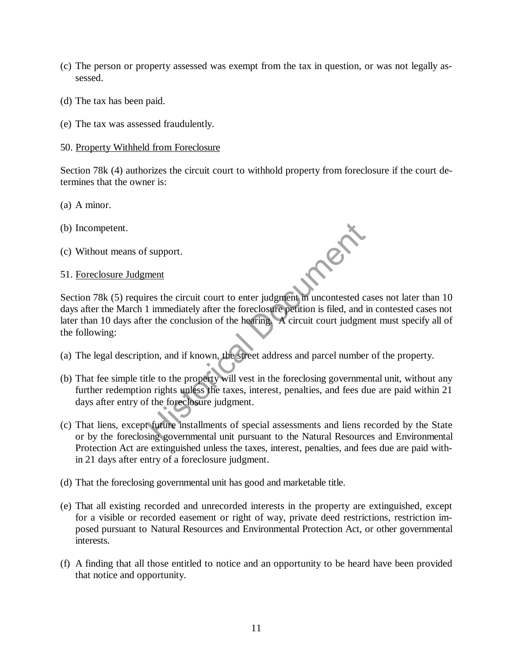- (c) The person or property assessed was exempt from the tax in question, or was not legally assessed.
- (d) The tax has been paid.
- (e) The tax was assessed fraudulently.

#### 50. Property Withheld from Foreclosure

Section 78k (4) authorizes the circuit court to withhold property from foreclosure if the court determines that the owner is:

- (a) A minor.
- (b) Incompetent.
- (c) Without means of support.
- 51. Foreclosure Judgment

Section 78k (5) requires the circuit court to enter judgment in uncontested cases not later than 10 days after the March 1 immediately after the foreclosure petition is filed, and in contested cases not later than 10 days after the conclusion of the hearing. A circuit court judgment must specify all of the following: Support.<br>
The support of the circuit court to enter judgment in uncontested c<br>
1 immediately after the foreclosure petition is filed, and<br>
the conclusion of the hearing. A circuit court judgment<br>
ion, and if known, the str

- (a) The legal description, and if known, the street address and parcel number of the property.
- (b) That fee simple title to the property will vest in the foreclosing governmental unit, without any further redemption rights unless the taxes, interest, penalties, and fees due are paid within 21 days after entry of the foreclosure judgment.
- (c) That liens, except future installments of special assessments and liens recorded by the State or by the foreclosing governmental unit pursuant to the Natural Resources and Environmental Protection Act are extinguished unless the taxes, interest, penalties, and fees due are paid within 21 days after entry of a foreclosure judgment.
- (d) That the foreclosing governmental unit has good and marketable title.
- (e) That all existing recorded and unrecorded interests in the property are extinguished, except for a visible or recorded easement or right of way, private deed restrictions, restriction imposed pursuant to Natural Resources and Environmental Protection Act, or other governmental interests.
- (f) A finding that all those entitled to notice and an opportunity to be heard have been provided that notice and opportunity.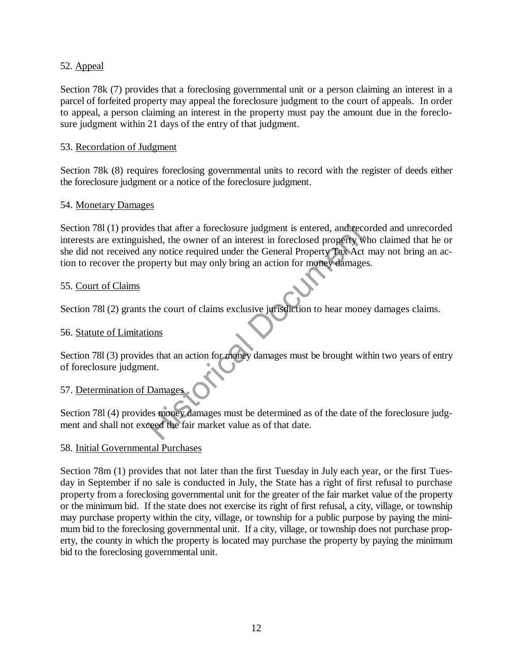# 52. Appeal

Section 78k (7) provides that a foreclosing governmental unit or a person claiming an interest in a parcel of forfeited property may appeal the foreclosure judgment to the court of appeals. In order to appeal, a person claiming an interest in the property must pay the amount due in the foreclosure judgment within 21 days of the entry of that judgment.

# 53. Recordation of Judgment

Section 78k (8) requires foreclosing governmental units to record with the register of deeds either the foreclosure judgment or a notice of the foreclosure judgment.

# 54. Monetary Damages

Section 78l (1) provides that after a foreclosure judgment is entered, and recorded and unrecorded interests are extinguished, the owner of an interest in foreclosed property who claimed that he or she did not received any notice required under the General Property Tax Act may not bring an action to recover the property but may only bring an action for money damages. The set that a foreclosure judgment is entered, and recessed the set of an interest in foreclosed property where the owner of an interest in foreclosed property where the court of claims and action for money damage the cou

# 55. Court of Claims

Section 781 (2) grants the court of claims exclusive jurisdiction to hear money damages claims.

## 56. Statute of Limitations

Section 78l (3) provides that an action for money damages must be brought within two years of entry of foreclosure judgment.

## 57. Determination of Damages

Section 78l (4) provides money damages must be determined as of the date of the foreclosure judgment and shall not exceed the fair market value as of that date.

## 58. Initial Governmental Purchases

Section 78m (1) provides that not later than the first Tuesday in July each year, or the first Tuesday in September if no sale is conducted in July, the State has a right of first refusal to purchase property from a foreclosing governmental unit for the greater of the fair market value of the property or the minimum bid. If the state does not exercise its right of first refusal, a city, village, or township may purchase property within the city, village, or township for a public purpose by paying the minimum bid to the foreclosing governmental unit. If a city, village, or township does not purchase property, the county in which the property is located may purchase the property by paying the minimum bid to the foreclosing governmental unit.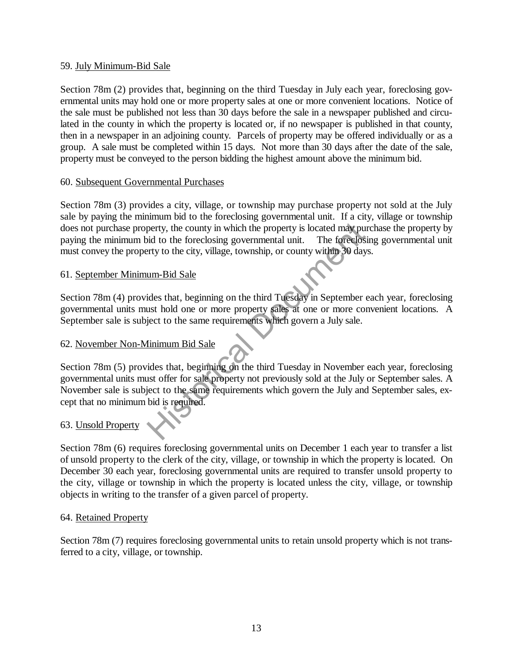## 59. July Minimum-Bid Sale

Section 78m (2) provides that, beginning on the third Tuesday in July each year, foreclosing governmental units may hold one or more property sales at one or more convenient locations. Notice of the sale must be published not less than 30 days before the sale in a newspaper published and circulated in the county in which the property is located or, if no newspaper is published in that county, then in a newspaper in an adjoining county. Parcels of property may be offered individually or as a group. A sale must be completed within 15 days. Not more than 30 days after the date of the sale, property must be conveyed to the person bidding the highest amount above the minimum bid.

# 60. Subsequent Governmental Purchases

Section 78m (3) provides a city, village, or township may purchase property not sold at the July sale by paying the minimum bid to the foreclosing governmental unit. If a city, village or township does not purchase property, the county in which the property is located may purchase the property by paying the minimum bid to the foreclosing governmental unit. The foreclosing governmental unit must convey the property to the city, village, township, or county within 30 days.

# 61. September Minimum-Bid Sale

Section 78m (4) provides that, beginning on the third Tuesday in September each year, foreclosing governmental units must hold one or more property sales at one or more convenient locations. A September sale is subject to the same requirements which govern a July sale.

# 62. November Non-Minimum Bid Sale

Section 78m (5) provides that, beginning on the third Tuesday in November each year, foreclosing governmental units must offer for sale property not previously sold at the July or September sales. A November sale is subject to the same requirements which govern the July and September sales, except that no minimum bid is required. perty, the county in which the property is located may pu<br>vid to the foreclosing governmental unit. The foreclosity<br>try to the city, village, township, or county within 30 day<br><u>um-Bid Sale</u><br>ides that, beginning on the thir

# 63. Unsold Property

Section 78m (6) requires foreclosing governmental units on December 1 each year to transfer a list of unsold property to the clerk of the city, village, or township in which the property is located. On December 30 each year, foreclosing governmental units are required to transfer unsold property to the city, village or township in which the property is located unless the city, village, or township objects in writing to the transfer of a given parcel of property.

# 64. Retained Property

Section 78m (7) requires foreclosing governmental units to retain unsold property which is not transferred to a city, village, or township.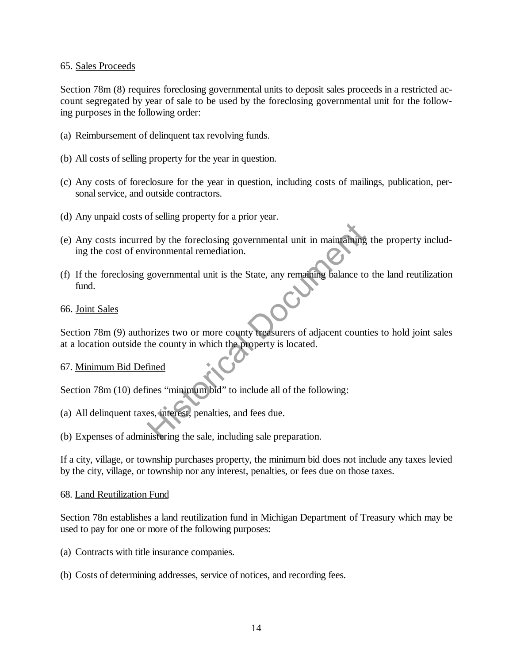## 65. Sales Proceeds

Section 78m (8) requires foreclosing governmental units to deposit sales proceeds in a restricted account segregated by year of sale to be used by the foreclosing governmental unit for the following purposes in the following order:

- (a) Reimbursement of delinquent tax revolving funds.
- (b) All costs of selling property for the year in question.
- (c) Any costs of foreclosure for the year in question, including costs of mailings, publication, personal service, and outside contractors.
- (d) Any unpaid costs of selling property for a prior year.
- (e) Any costs incurred by the foreclosing governmental unit in maintaining the property including the cost of environmental remediation. d by the foreclosing governmental unit in maintaining<br>vironmental remediation.<br>governmental unit is the State, any remaining balance to<br>prices two or more county reasurers of adjacent count<br>he county in which the property
- (f) If the foreclosing governmental unit is the State, any remaining balance to the land reutilization fund.

## 66. Joint Sales

Section 78m (9) authorizes two or more county treasurers of adjacent counties to hold joint sales at a location outside the county in which the property is located.

#### 67. Minimum Bid Defined

Section 78m (10) defines "minimum bid" to include all of the following:

- (a) All delinquent taxes, interest, penalties, and fees due.
- (b) Expenses of administering the sale, including sale preparation.

If a city, village, or township purchases property, the minimum bid does not include any taxes levied by the city, village, or township nor any interest, penalties, or fees due on those taxes.

#### 68. Land Reutilization Fund

Section 78n establishes a land reutilization fund in Michigan Department of Treasury which may be used to pay for one or more of the following purposes:

- (a) Contracts with title insurance companies.
- (b) Costs of determining addresses, service of notices, and recording fees.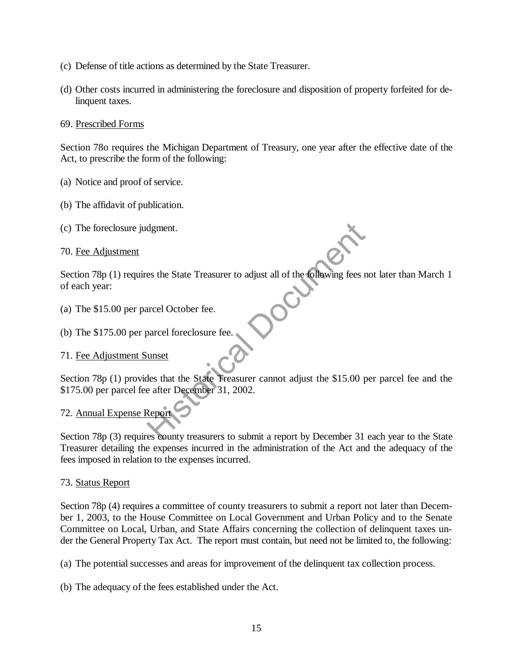- (c) Defense of title actions as determined by the State Treasurer.
- (d) Other costs incurred in administering the foreclosure and disposition of property forfeited for delinquent taxes.

## 69. Prescribed Forms

Section 78o requires the Michigan Department of Treasury, one year after the effective date of the Act, to prescribe the form of the following:

- (a) Notice and proof of service.
- (b) The affidavit of publication.
- (c) The foreclosure judgment.

70. Fee Adjustment

Section 78p (1) requires the State Treasurer to adjust all of the following fees not later than March 1 of each year:

- (a) The \$15.00 per parcel October fee.
- (b) The \$175.00 per parcel foreclosure fee.

# 71. Fee Adjustment Sunset

Section 78p (1) provides that the State Treasurer cannot adjust the \$15.00 per parcel fee and the \$175.00 per parcel fee after December 31, 2002. dgment.<br>
es the State Treasurer to adjust all of the following fees r<br>
unset<br>
unset<br>
les that the State Treasurer cannot adjust the \$15.00 p<br>
e after December 31, 2002.<br>
Report

# 72. Annual Expense Report

Section 78p (3) requires county treasurers to submit a report by December 31 each year to the State Treasurer detailing the expenses incurred in the administration of the Act and the adequacy of the fees imposed in relation to the expenses incurred.

## 73. Status Report

Section 78p (4) requires a committee of county treasurers to submit a report not later than December 1, 2003, to the House Committee on Local Government and Urban Policy and to the Senate Committee on Local, Urban, and State Affairs concerning the collection of delinquent taxes under the General Property Tax Act. The report must contain, but need not be limited to, the following:

(a) The potential successes and areas for improvement of the delinquent tax collection process.

(b) The adequacy of the fees established under the Act.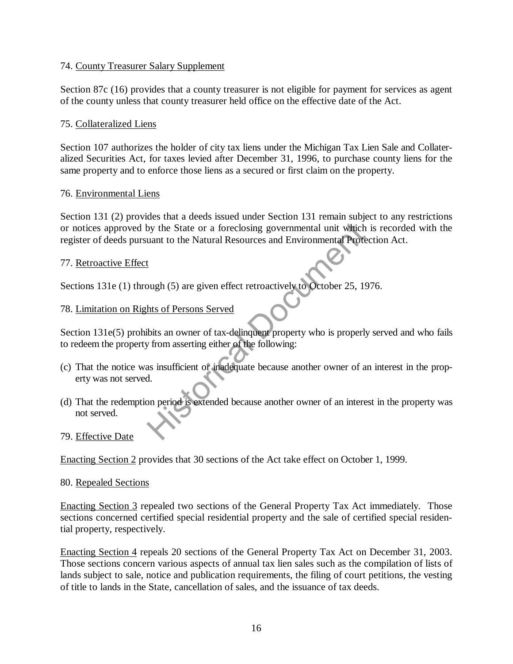# 74. County Treasurer Salary Supplement

Section 87c (16) provides that a county treasurer is not eligible for payment for services as agent of the county unless that county treasurer held office on the effective date of the Act.

# 75. Collateralized Liens

Section 107 authorizes the holder of city tax liens under the Michigan Tax Lien Sale and Collateralized Securities Act, for taxes levied after December 31, 1996, to purchase county liens for the same property and to enforce those liens as a secured or first claim on the property.

## 76. Environmental Liens

Section 131 (2) provides that a deeds issued under Section 131 remain subject to any restrictions or notices approved by the State or a foreclosing governmental unit which is recorded with the register of deeds pursuant to the Natural Resources and Environmental Protection Act. by the State or a foreclosing governmental unit which<br>
uant to the Natural Resources and Environmental Prote<br>
L<br>
L<br>
Uugh (5) are given effect retroactively to October 25, 19<br>
hts of Persons Served<br>
Units an owner of tax-de

# 77. Retroactive Effect

Sections 131e (1) through (5) are given effect retroactively to October 25, 1976.

# 78. Limitation on Rights of Persons Served

Section 131e(5) prohibits an owner of tax-delinquent property who is properly served and who fails to redeem the property from asserting either of the following:

- (c) That the notice was insufficient or inadequate because another owner of an interest in the property was not served.
- (d) That the redemption period is extended because another owner of an interest in the property was not served.

## 79. Effective Date

Enacting Section 2 provides that 30 sections of the Act take effect on October 1, 1999.

## 80. Repealed Sections

Enacting Section 3 repealed two sections of the General Property Tax Act immediately. Those sections concerned certified special residential property and the sale of certified special residential property, respectively.

Enacting Section 4 repeals 20 sections of the General Property Tax Act on December 31, 2003. Those sections concern various aspects of annual tax lien sales such as the compilation of lists of lands subject to sale, notice and publication requirements, the filing of court petitions, the vesting of title to lands in the State, cancellation of sales, and the issuance of tax deeds.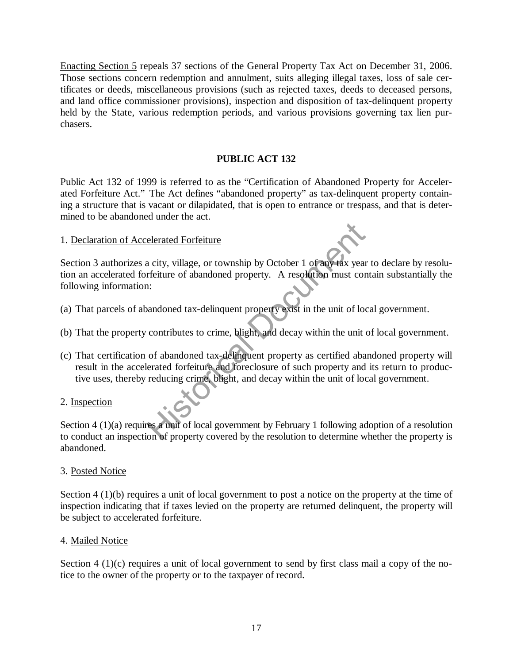Enacting Section 5 repeals 37 sections of the General Property Tax Act on December 31, 2006. Those sections concern redemption and annulment, suits alleging illegal taxes, loss of sale certificates or deeds, miscellaneous provisions (such as rejected taxes, deeds to deceased persons, and land office commissioner provisions), inspection and disposition of tax-delinquent property held by the State, various redemption periods, and various provisions governing tax lien purchasers.

# **PUBLIC ACT 132**

Public Act 132 of 1999 is referred to as the "Certification of Abandoned Property for Accelerated Forfeiture Act." The Act defines "abandoned property" as tax-delinquent property containing a structure that is vacant or dilapidated, that is open to entrance or trespass, and that is determined to be abandoned under the act.

# 1. Declaration of Accelerated Forfeiture

Section 3 authorizes a city, village, or township by October 1 of any tax year to declare by resolution an accelerated forfeiture of abandoned property. A resolution must contain substantially the following information: elerated Forfeiture<br>
a city, village, or township by October 1 of any tax year<br>
rfeiture of abandoned property. A resolution must corner<br>
i:<br>
andoned tax-delinquent property exist in the unit of loc<br>
contributes to crime,

- (a) That parcels of abandoned tax-delinquent property exist in the unit of local government.
- (b) That the property contributes to crime, blight, and decay within the unit of local government.
- (c) That certification of abandoned tax-delinquent property as certified abandoned property will result in the accelerated forfeiture and foreclosure of such property and its return to productive uses, thereby reducing crime, blight, and decay within the unit of local government.

# 2. Inspection

Section 4 (1)(a) requires a unit of local government by February 1 following adoption of a resolution to conduct an inspection of property covered by the resolution to determine whether the property is abandoned.

## 3. Posted Notice

Section 4 (1)(b) requires a unit of local government to post a notice on the property at the time of inspection indicating that if taxes levied on the property are returned delinquent, the property will be subject to accelerated forfeiture.

# 4. Mailed Notice

Section  $4(1)(c)$  requires a unit of local government to send by first class mail a copy of the notice to the owner of the property or to the taxpayer of record.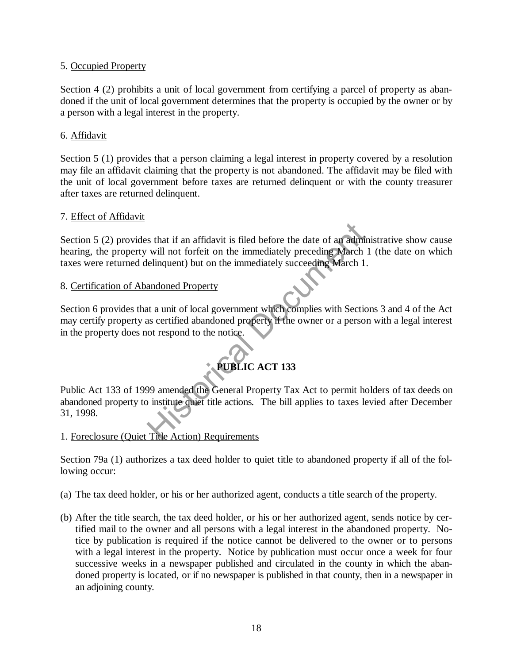# 5. Occupied Property

Section 4 (2) prohibits a unit of local government from certifying a parcel of property as abandoned if the unit of local government determines that the property is occupied by the owner or by a person with a legal interest in the property.

# 6. Affidavit

Section 5 (1) provides that a person claiming a legal interest in property covered by a resolution may file an affidavit claiming that the property is not abandoned. The affidavit may be filed with the unit of local government before taxes are returned delinquent or with the county treasurer after taxes are returned delinquent.

## 7. Effect of Affidavit

Section 5 (2) provides that if an affidavit is filed before the date of an administrative show cause hearing, the property will not forfeit on the immediately preceding March 1 (the date on which taxes were returned delinquent) but on the immediately succeeding March 1. STREAG IN THE ACT 133<br>
We allow the immediately preceding March 1<br>
elinquent) but on the immediately succeeding March 1<br>
andoned Property<br>
andoned Property<br>
ta a unit of local government which complies with Section<br>
as cer

# 8. Certification of Abandoned Property

Section 6 provides that a unit of local government which complies with Sections 3 and 4 of the Act may certify property as certified abandoned property if the owner or a person with a legal interest in the property does not respond to the notice.

# **PUBLIC ACT 133**

Public Act 133 of 1999 amended the General Property Tax Act to permit holders of tax deeds on abandoned property to institute quiet title actions. The bill applies to taxes levied after December 31, 1998.

1. Foreclosure (Quiet Title Action) Requirements

Section 79a (1) authorizes a tax deed holder to quiet title to abandoned property if all of the following occur:

- (a) The tax deed holder, or his or her authorized agent, conducts a title search of the property.
- (b) After the title search, the tax deed holder, or his or her authorized agent, sends notice by certified mail to the owner and all persons with a legal interest in the abandoned property. Notice by publication is required if the notice cannot be delivered to the owner or to persons with a legal interest in the property. Notice by publication must occur once a week for four successive weeks in a newspaper published and circulated in the county in which the abandoned property is located, or if no newspaper is published in that county, then in a newspaper in an adjoining county.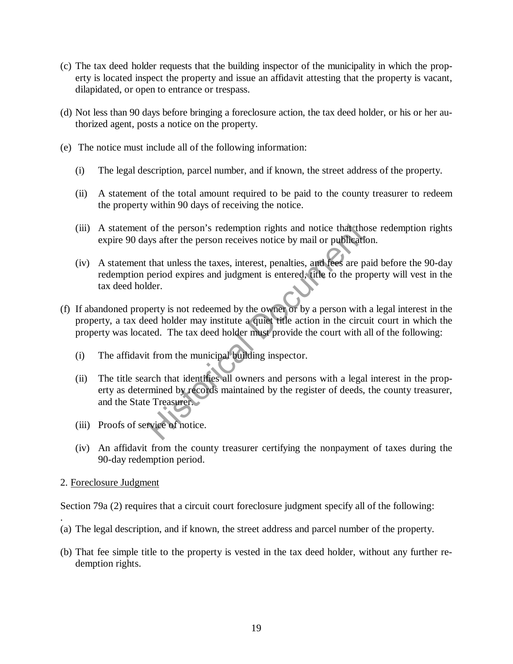- (c) The tax deed holder requests that the building inspector of the municipality in which the property is located inspect the property and issue an affidavit attesting that the property is vacant, dilapidated, or open to entrance or trespass.
- (d) Not less than 90 days before bringing a foreclosure action, the tax deed holder, or his or her authorized agent, posts a notice on the property.
- (e) The notice must include all of the following information:
	- (i) The legal description, parcel number, and if known, the street address of the property.
	- (ii) A statement of the total amount required to be paid to the county treasurer to redeem the property within 90 days of receiving the notice.
	- (iii) A statement of the person's redemption rights and notice that those redemption rights expire 90 days after the person receives notice by mail or publication.
	- (iv) A statement that unless the taxes, interest, penalties, and fees are paid before the 90-day redemption period expires and judgment is entered, title to the property will vest in the tax deed holder.
- (f) If abandoned property is not redeemed by the owner or by a person with a legal interest in the property, a tax deed holder may institute a quiet title action in the circuit court in which the property was located. The tax deed holder must provide the court with all of the following:
	- (i) The affidavit from the municipal building inspector.
- (ii) The title search that identifies all owners and persons with a legal interest in the property as determined by records maintained by the register of deeds, the county treasurer, and the State Treasurer. of the person's redemption rights and notice that the<br>tys after the person receives notice by mail or publication<br>that unless the taxes, interest, penalties, and fees are p<br>period expires and judgment is entered, title to
	- (iii) Proofs of service of notice.
	- (iv) An affidavit from the county treasurer certifying the nonpayment of taxes during the 90-day redemption period.
- 2. Foreclosure Judgment

Section 79a (2) requires that a circuit court foreclosure judgment specify all of the following:

- . (a) The legal description, and if known, the street address and parcel number of the property.
- (b) That fee simple title to the property is vested in the tax deed holder, without any further redemption rights.